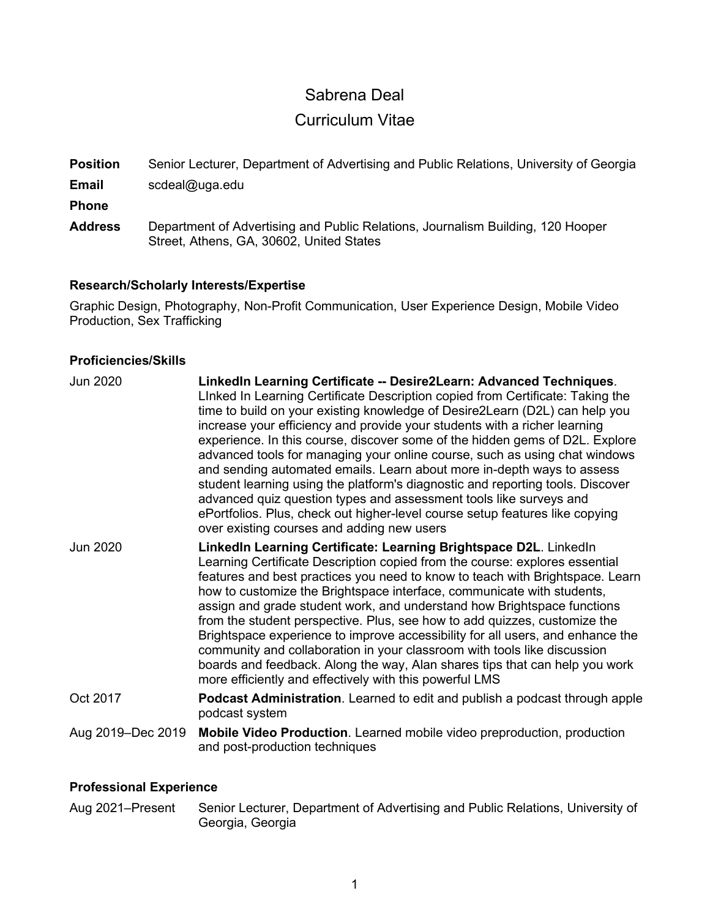# Sabrena Deal

# Curriculum Vitae

**Position** Senior Lecturer, Department of Advertising and Public Relations, University of Georgia

**Email** scdeal@uga.edu

**Phone**

**Address** Department of Advertising and Public Relations, Journalism Building, 120 Hooper Street, Athens, GA, 30602, United States

# **Research/Scholarly Interests/Expertise**

Graphic Design, Photography, Non-Profit Communication, User Experience Design, Mobile Video Production, Sex Trafficking

# **Proficiencies/Skills**

| <b>Jun 2020</b>   | LinkedIn Learning Certificate -- Desire2Learn: Advanced Techniques.<br>LInked In Learning Certificate Description copied from Certificate: Taking the<br>time to build on your existing knowledge of Desire2Learn (D2L) can help you<br>increase your efficiency and provide your students with a richer learning<br>experience. In this course, discover some of the hidden gems of D2L. Explore<br>advanced tools for managing your online course, such as using chat windows<br>and sending automated emails. Learn about more in-depth ways to assess<br>student learning using the platform's diagnostic and reporting tools. Discover<br>advanced quiz question types and assessment tools like surveys and<br>ePortfolios. Plus, check out higher-level course setup features like copying<br>over existing courses and adding new users |
|-------------------|-------------------------------------------------------------------------------------------------------------------------------------------------------------------------------------------------------------------------------------------------------------------------------------------------------------------------------------------------------------------------------------------------------------------------------------------------------------------------------------------------------------------------------------------------------------------------------------------------------------------------------------------------------------------------------------------------------------------------------------------------------------------------------------------------------------------------------------------------|
| Jun 2020          | LinkedIn Learning Certificate: Learning Brightspace D2L. LinkedIn<br>Learning Certificate Description copied from the course: explores essential<br>features and best practices you need to know to teach with Brightspace. Learn<br>how to customize the Brightspace interface, communicate with students,<br>assign and grade student work, and understand how Brightspace functions<br>from the student perspective. Plus, see how to add quizzes, customize the<br>Brightspace experience to improve accessibility for all users, and enhance the<br>community and collaboration in your classroom with tools like discussion<br>boards and feedback. Along the way, Alan shares tips that can help you work<br>more efficiently and effectively with this powerful LMS                                                                     |
| Oct 2017          | Podcast Administration. Learned to edit and publish a podcast through apple<br>podcast system                                                                                                                                                                                                                                                                                                                                                                                                                                                                                                                                                                                                                                                                                                                                                   |
| Aug 2019-Dec 2019 | Mobile Video Production. Learned mobile video preproduction, production<br>and post-production techniques                                                                                                                                                                                                                                                                                                                                                                                                                                                                                                                                                                                                                                                                                                                                       |

# **Professional Experience**

Aug 2021–Present Senior Lecturer, Department of Advertising and Public Relations, University of Georgia, Georgia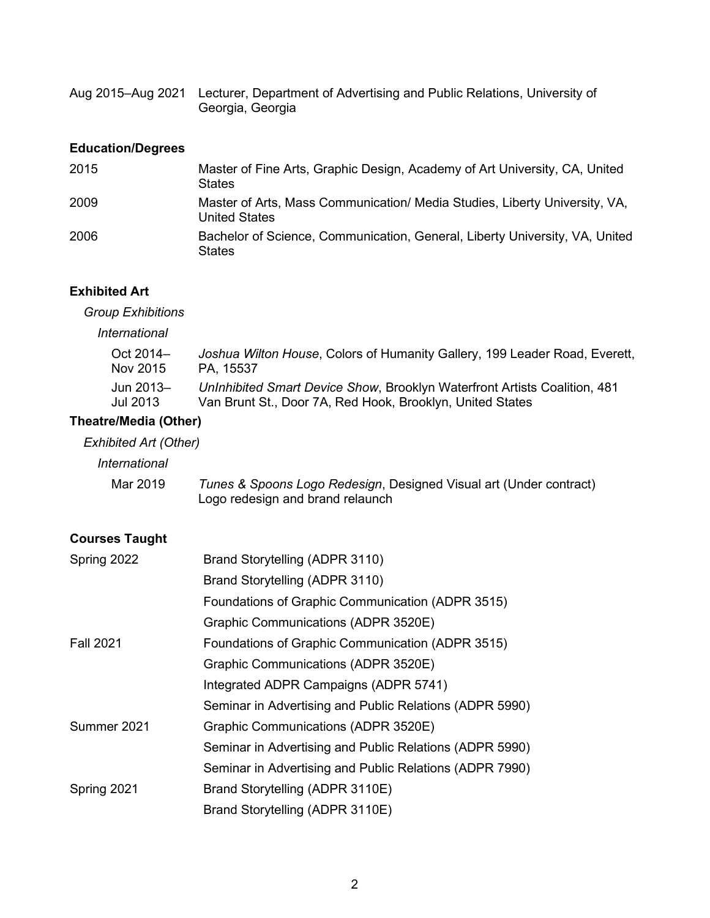| Aug 2015–Aug 2021 Lecturer, Department of Advertising and Public Relations, University of |
|-------------------------------------------------------------------------------------------|
| Georgia, Georgia                                                                          |

# **Education/Degrees**

| 2015 | Master of Fine Arts, Graphic Design, Academy of Art University, CA, United<br><b>States</b>        |
|------|----------------------------------------------------------------------------------------------------|
| 2009 | Master of Arts, Mass Communication/ Media Studies, Liberty University, VA,<br><b>United States</b> |
| 2006 | Bachelor of Science, Communication, General, Liberty University, VA, United<br><b>States</b>       |

# **Exhibited Art**

*Group Exhibitions*

*International*

| Oct 2014- | Joshua Wilton House, Colors of Humanity Gallery, 199 Leader Road, Everett, |
|-----------|----------------------------------------------------------------------------|
| Nov 2015  | PA. 15537                                                                  |
| Jun 2013- | UnInhibited Smart Device Show, Brooklyn Waterfront Artists Coalition, 481  |
| Jul 2013  | Van Brunt St., Door 7A, Red Hook, Brooklyn, United States                  |

# **Theatre/Media (Other)**

# *Exhibited Art (Other)*

*International*

| Mar 2019 | Tunes & Spoons Logo Redesign, Designed Visual art (Under contract) |
|----------|--------------------------------------------------------------------|
|          | Logo redesign and brand relaunch                                   |

# **Courses Taught**

| Spring 2022      | Brand Storytelling (ADPR 3110)                          |
|------------------|---------------------------------------------------------|
|                  | Brand Storytelling (ADPR 3110)                          |
|                  | Foundations of Graphic Communication (ADPR 3515)        |
|                  | Graphic Communications (ADPR 3520E)                     |
| <b>Fall 2021</b> | Foundations of Graphic Communication (ADPR 3515)        |
|                  | Graphic Communications (ADPR 3520E)                     |
|                  | Integrated ADPR Campaigns (ADPR 5741)                   |
|                  | Seminar in Advertising and Public Relations (ADPR 5990) |
| Summer 2021      | Graphic Communications (ADPR 3520E)                     |
|                  | Seminar in Advertising and Public Relations (ADPR 5990) |
|                  | Seminar in Advertising and Public Relations (ADPR 7990) |
| Spring 2021      | Brand Storytelling (ADPR 3110E)                         |
|                  | Brand Storytelling (ADPR 3110E)                         |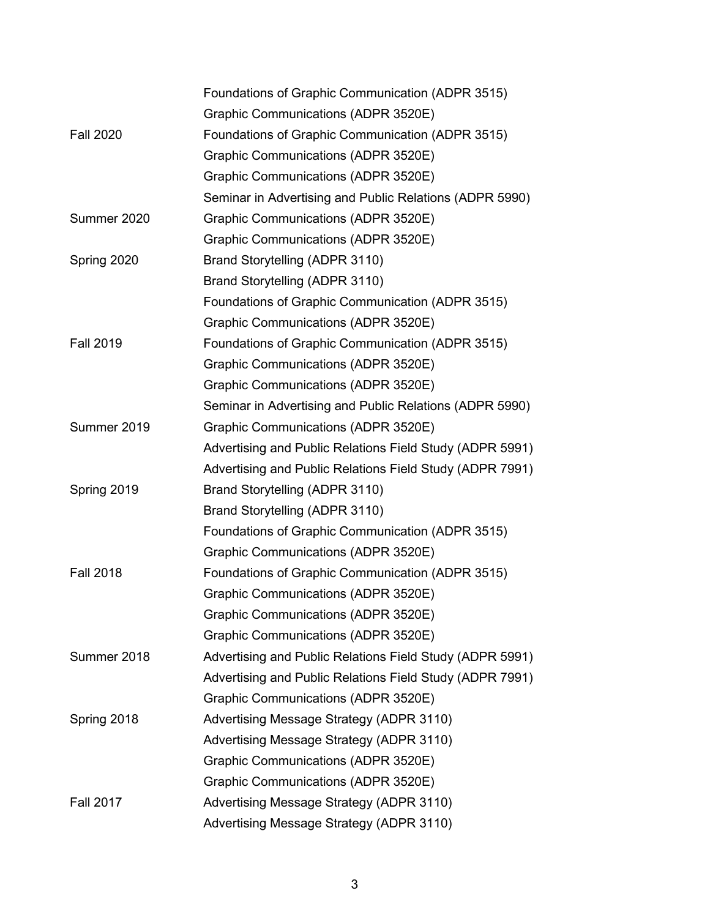|                  | Foundations of Graphic Communication (ADPR 3515)         |
|------------------|----------------------------------------------------------|
|                  | Graphic Communications (ADPR 3520E)                      |
| <b>Fall 2020</b> | Foundations of Graphic Communication (ADPR 3515)         |
|                  | Graphic Communications (ADPR 3520E)                      |
|                  | Graphic Communications (ADPR 3520E)                      |
|                  | Seminar in Advertising and Public Relations (ADPR 5990)  |
| Summer 2020      | Graphic Communications (ADPR 3520E)                      |
|                  | Graphic Communications (ADPR 3520E)                      |
| Spring 2020      | Brand Storytelling (ADPR 3110)                           |
|                  | Brand Storytelling (ADPR 3110)                           |
|                  | Foundations of Graphic Communication (ADPR 3515)         |
|                  | Graphic Communications (ADPR 3520E)                      |
| <b>Fall 2019</b> | Foundations of Graphic Communication (ADPR 3515)         |
|                  | Graphic Communications (ADPR 3520E)                      |
|                  | Graphic Communications (ADPR 3520E)                      |
|                  | Seminar in Advertising and Public Relations (ADPR 5990)  |
| Summer 2019      | Graphic Communications (ADPR 3520E)                      |
|                  | Advertising and Public Relations Field Study (ADPR 5991) |
|                  | Advertising and Public Relations Field Study (ADPR 7991) |
| Spring 2019      | Brand Storytelling (ADPR 3110)                           |
|                  | Brand Storytelling (ADPR 3110)                           |
|                  | Foundations of Graphic Communication (ADPR 3515)         |
|                  | Graphic Communications (ADPR 3520E)                      |
| <b>Fall 2018</b> | Foundations of Graphic Communication (ADPR 3515)         |
|                  | Graphic Communications (ADPR 3520E)                      |
|                  | Graphic Communications (ADPR 3520E)                      |
|                  | Graphic Communications (ADPR 3520E)                      |
| Summer 2018      | Advertising and Public Relations Field Study (ADPR 5991) |
|                  | Advertising and Public Relations Field Study (ADPR 7991) |
|                  | Graphic Communications (ADPR 3520E)                      |
| Spring 2018      | Advertising Message Strategy (ADPR 3110)                 |
|                  | Advertising Message Strategy (ADPR 3110)                 |
|                  | Graphic Communications (ADPR 3520E)                      |
|                  | Graphic Communications (ADPR 3520E)                      |
| <b>Fall 2017</b> | Advertising Message Strategy (ADPR 3110)                 |
|                  | Advertising Message Strategy (ADPR 3110)                 |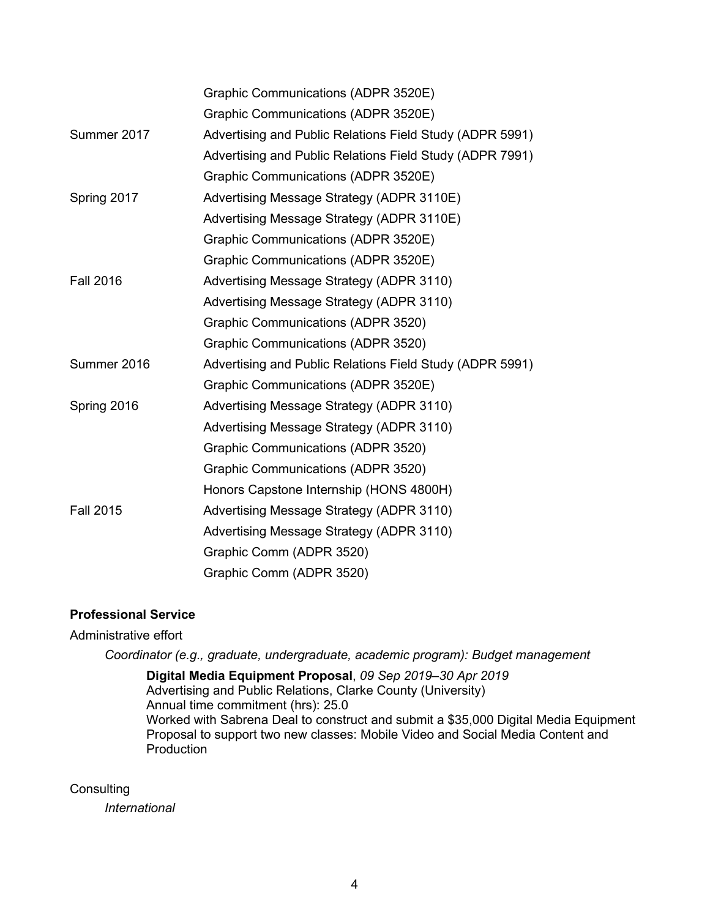|                  | Graphic Communications (ADPR 3520E)                      |
|------------------|----------------------------------------------------------|
|                  | Graphic Communications (ADPR 3520E)                      |
| Summer 2017      | Advertising and Public Relations Field Study (ADPR 5991) |
|                  | Advertising and Public Relations Field Study (ADPR 7991) |
|                  | Graphic Communications (ADPR 3520E)                      |
| Spring 2017      | Advertising Message Strategy (ADPR 3110E)                |
|                  | Advertising Message Strategy (ADPR 3110E)                |
|                  | Graphic Communications (ADPR 3520E)                      |
|                  | Graphic Communications (ADPR 3520E)                      |
| <b>Fall 2016</b> | Advertising Message Strategy (ADPR 3110)                 |
|                  | Advertising Message Strategy (ADPR 3110)                 |
|                  | Graphic Communications (ADPR 3520)                       |
|                  | Graphic Communications (ADPR 3520)                       |
| Summer 2016      | Advertising and Public Relations Field Study (ADPR 5991) |
|                  | Graphic Communications (ADPR 3520E)                      |
| Spring 2016      | Advertising Message Strategy (ADPR 3110)                 |
|                  | Advertising Message Strategy (ADPR 3110)                 |
|                  | Graphic Communications (ADPR 3520)                       |
|                  | Graphic Communications (ADPR 3520)                       |
|                  | Honors Capstone Internship (HONS 4800H)                  |
| <b>Fall 2015</b> | Advertising Message Strategy (ADPR 3110)                 |
|                  | Advertising Message Strategy (ADPR 3110)                 |
|                  | Graphic Comm (ADPR 3520)                                 |
|                  | Graphic Comm (ADPR 3520)                                 |

# **Professional Service**

# Administrative effort

*Coordinator (e.g., graduate, undergraduate, academic program): Budget management*

**Digital Media Equipment Proposal**, *09 Sep 2019–30 Apr 2019* Advertising and Public Relations, Clarke County (University) Annual time commitment (hrs): 25.0 Worked with Sabrena Deal to construct and submit a \$35,000 Digital Media Equipment Proposal to support two new classes: Mobile Video and Social Media Content and Production

**Consulting** 

*International*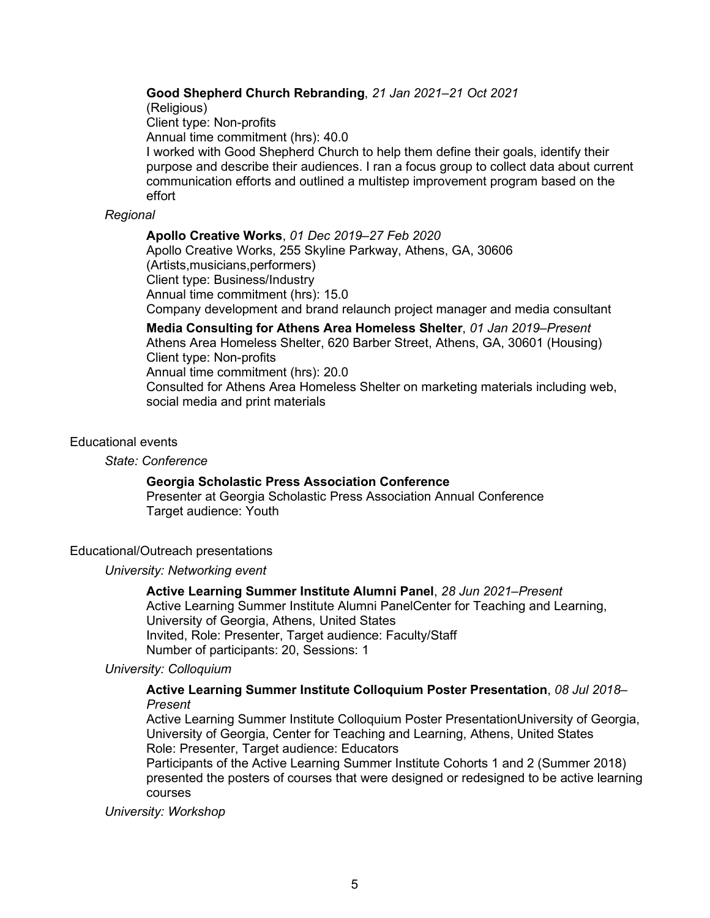# **Good Shepherd Church Rebranding**, *21 Jan 2021–21 Oct 2021*

(Religious)

Client type: Non-profits

Annual time commitment (hrs): 40.0

I worked with Good Shepherd Church to help them define their goals, identify their purpose and describe their audiences. I ran a focus group to collect data about current communication efforts and outlined a multistep improvement program based on the effort

# *Regional*

**Apollo Creative Works**, *01 Dec 2019–27 Feb 2020* Apollo Creative Works, 255 Skyline Parkway, Athens, GA, 30606 (Artists,musicians,performers) Client type: Business/Industry Annual time commitment (hrs): 15.0 Company development and brand relaunch project manager and media consultant

**Media Consulting for Athens Area Homeless Shelter**, *01 Jan 2019–Present* Athens Area Homeless Shelter, 620 Barber Street, Athens, GA, 30601 (Housing) Client type: Non-profits Annual time commitment (hrs): 20.0 Consulted for Athens Area Homeless Shelter on marketing materials including web, social media and print materials

### Educational events

#### *State: Conference*

# **Georgia Scholastic Press Association Conference**

Presenter at Georgia Scholastic Press Association Annual Conference Target audience: Youth

# Educational/Outreach presentations

#### *University: Networking event*

# **Active Learning Summer Institute Alumni Panel**, *28 Jun 2021–Present*

Active Learning Summer Institute Alumni PanelCenter for Teaching and Learning, University of Georgia, Athens, United States Invited, Role: Presenter, Target audience: Faculty/Staff Number of participants: 20, Sessions: 1

# *University: Colloquium*

# **Active Learning Summer Institute Colloquium Poster Presentation**, *08 Jul 2018– Present*

Active Learning Summer Institute Colloquium Poster PresentationUniversity of Georgia, University of Georgia, Center for Teaching and Learning, Athens, United States Role: Presenter, Target audience: Educators

Participants of the Active Learning Summer Institute Cohorts 1 and 2 (Summer 2018) presented the posters of courses that were designed or redesigned to be active learning courses

*University: Workshop*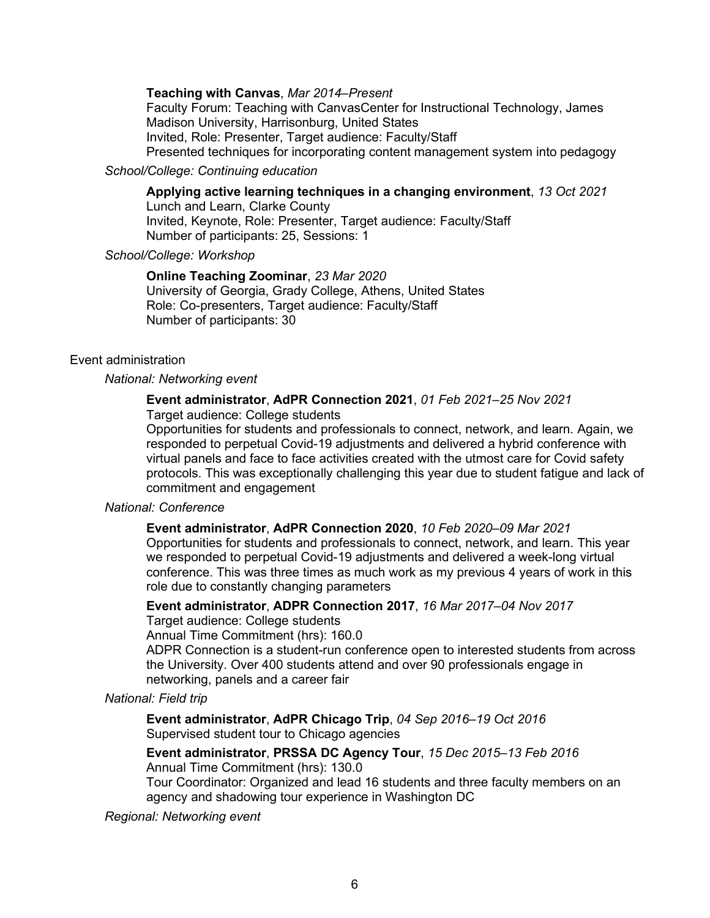### **Teaching with Canvas**, *Mar 2014–Present*

Faculty Forum: Teaching with CanvasCenter for Instructional Technology, James Madison University, Harrisonburg, United States Invited, Role: Presenter, Target audience: Faculty/Staff

Presented techniques for incorporating content management system into pedagogy

# *School/College: Continuing education*

**Applying active learning techniques in a changing environment**, *13 Oct 2021* Lunch and Learn, Clarke County

Invited, Keynote, Role: Presenter, Target audience: Faculty/Staff Number of participants: 25, Sessions: 1

# *School/College: Workshop*

**Online Teaching Zoominar**, *23 Mar 2020* University of Georgia, Grady College, Athens, United States Role: Co-presenters, Target audience: Faculty/Staff Number of participants: 30

### Event administration

### *National: Networking event*

# **Event administrator**, **AdPR Connection 2021**, *01 Feb 2021–25 Nov 2021*

Target audience: College students

Opportunities for students and professionals to connect, network, and learn. Again, we responded to perpetual Covid-19 adjustments and delivered a hybrid conference with virtual panels and face to face activities created with the utmost care for Covid safety protocols. This was exceptionally challenging this year due to student fatigue and lack of commitment and engagement

# *National: Conference*

#### **Event administrator**, **AdPR Connection 2020**, *10 Feb 2020–09 Mar 2021*

Opportunities for students and professionals to connect, network, and learn. This year we responded to perpetual Covid-19 adjustments and delivered a week-long virtual conference. This was three times as much work as my previous 4 years of work in this role due to constantly changing parameters

**Event administrator**, **ADPR Connection 2017**, *16 Mar 2017–04 Nov 2017* Target audience: College students

Annual Time Commitment (hrs): 160.0

ADPR Connection is a student-run conference open to interested students from across the University. Over 400 students attend and over 90 professionals engage in networking, panels and a career fair

# *National: Field trip*

**Event administrator**, **AdPR Chicago Trip**, *04 Sep 2016–19 Oct 2016* Supervised student tour to Chicago agencies

**Event administrator**, **PRSSA DC Agency Tour**, *15 Dec 2015–13 Feb 2016*

Annual Time Commitment (hrs): 130.0

Tour Coordinator: Organized and lead 16 students and three faculty members on an agency and shadowing tour experience in Washington DC

*Regional: Networking event*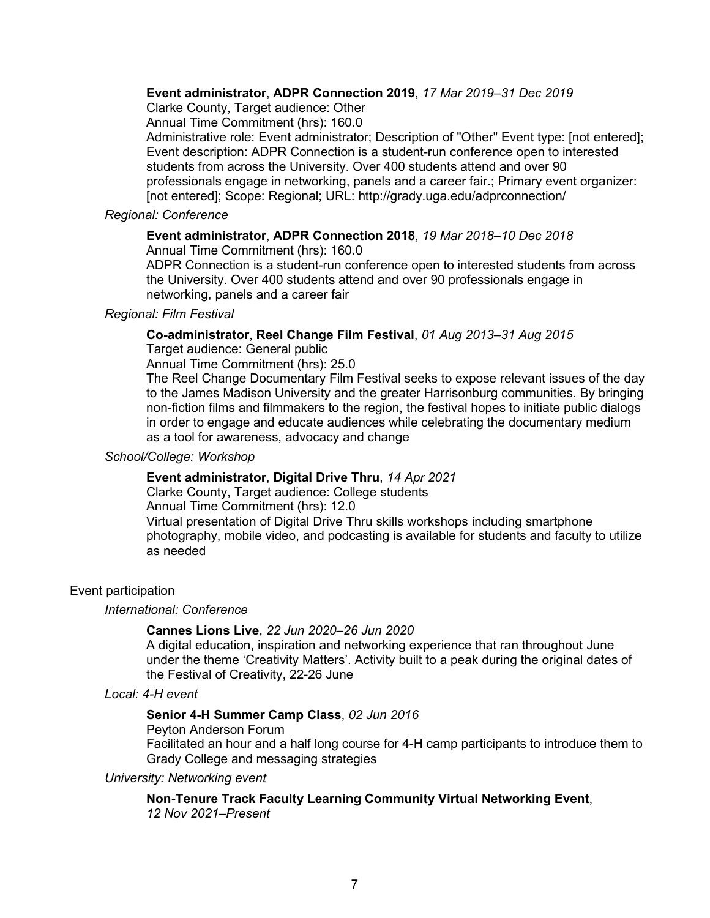# **Event administrator**, **ADPR Connection 2019**, *17 Mar 2019–31 Dec 2019*

Clarke County, Target audience: Other

Annual Time Commitment (hrs): 160.0

Administrative role: Event administrator; Description of "Other" Event type: [not entered]; Event description: ADPR Connection is a student-run conference open to interested students from across the University. Over 400 students attend and over 90 professionals engage in networking, panels and a career fair.; Primary event organizer: [not entered]; Scope: Regional; URL: http://grady.uga.edu/adprconnection/

# *Regional: Conference*

# **Event administrator**, **ADPR Connection 2018**, *19 Mar 2018–10 Dec 2018*

Annual Time Commitment (hrs): 160.0

ADPR Connection is a student-run conference open to interested students from across the University. Over 400 students attend and over 90 professionals engage in networking, panels and a career fair

### *Regional: Film Festival*

**Co-administrator**, **Reel Change Film Festival**, *01 Aug 2013–31 Aug 2015*

Target audience: General public

Annual Time Commitment (hrs): 25.0

The Reel Change Documentary Film Festival seeks to expose relevant issues of the day to the James Madison University and the greater Harrisonburg communities. By bringing non-fiction films and filmmakers to the region, the festival hopes to initiate public dialogs in order to engage and educate audiences while celebrating the documentary medium as a tool for awareness, advocacy and change

#### *School/College: Workshop*

# **Event administrator**, **Digital Drive Thru**, *14 Apr 2021*

Clarke County, Target audience: College students Annual Time Commitment (hrs): 12.0 Virtual presentation of Digital Drive Thru skills workshops including smartphone photography, mobile video, and podcasting is available for students and faculty to utilize as needed

# Event participation

#### *International: Conference*

# **Cannes Lions Live**, *22 Jun 2020–26 Jun 2020*

A digital education, inspiration and networking experience that ran throughout June under the theme 'Creativity Matters'. Activity built to a peak during the original dates of the Festival of Creativity, 22-26 June

*Local: 4-H event*

# **Senior 4-H Summer Camp Class**, *02 Jun 2016*

Peyton Anderson Forum

Facilitated an hour and a half long course for 4-H camp participants to introduce them to Grady College and messaging strategies

*University: Networking event*

**Non-Tenure Track Faculty Learning Community Virtual Networking Event**,

*12 Nov 2021–Present*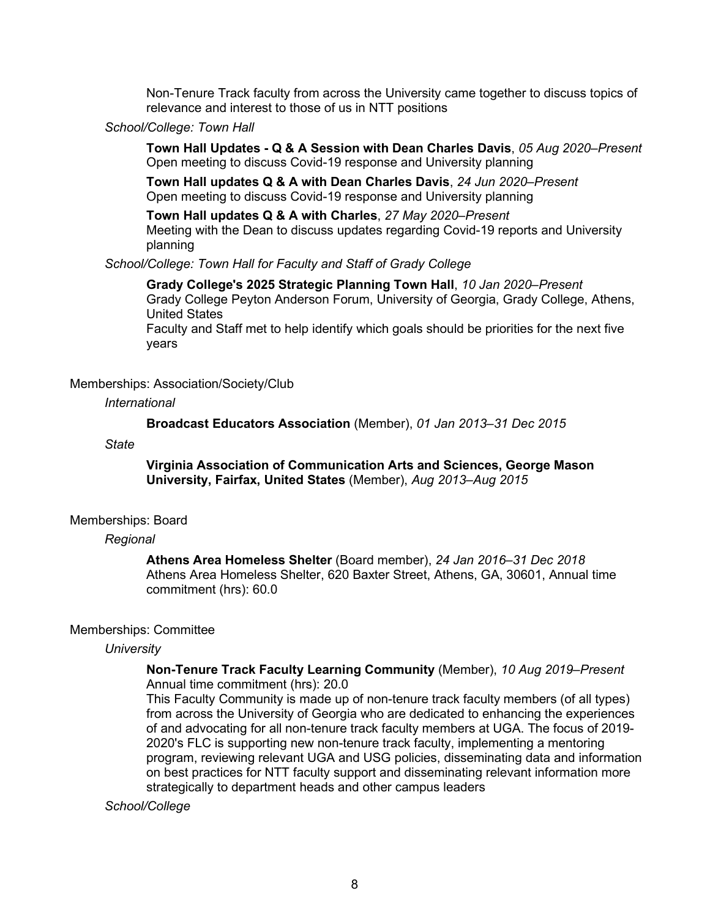Non-Tenure Track faculty from across the University came together to discuss topics of relevance and interest to those of us in NTT positions

### *School/College: Town Hall*

**Town Hall Updates - Q & A Session with Dean Charles Davis**, *05 Aug 2020–Present* Open meeting to discuss Covid-19 response and University planning

**Town Hall updates Q & A with Dean Charles Davis**, *24 Jun 2020–Present* Open meeting to discuss Covid-19 response and University planning

**Town Hall updates Q & A with Charles**, *27 May 2020–Present* Meeting with the Dean to discuss updates regarding Covid-19 reports and University planning

*School/College: Town Hall for Faculty and Staff of Grady College*

**Grady College's 2025 Strategic Planning Town Hall**, *10 Jan 2020–Present* Grady College Peyton Anderson Forum, University of Georgia, Grady College, Athens, United States

Faculty and Staff met to help identify which goals should be priorities for the next five years

#### Memberships: Association/Society/Club

### *International*

**Broadcast Educators Association** (Member), *01 Jan 2013–31 Dec 2015*

#### *State*

**Virginia Association of Communication Arts and Sciences, George Mason University, Fairfax, United States** (Member), *Aug 2013–Aug 2015*

#### Memberships: Board

#### *Regional*

**Athens Area Homeless Shelter** (Board member), *24 Jan 2016–31 Dec 2018* Athens Area Homeless Shelter, 620 Baxter Street, Athens, GA, 30601, Annual time commitment (hrs): 60.0

#### Memberships: Committee

### *University*

### **Non-Tenure Track Faculty Learning Community** (Member), *10 Aug 2019–Present* Annual time commitment (hrs): 20.0

This Faculty Community is made up of non-tenure track faculty members (of all types) from across the University of Georgia who are dedicated to enhancing the experiences of and advocating for all non-tenure track faculty members at UGA. The focus of 2019- 2020's FLC is supporting new non-tenure track faculty, implementing a mentoring program, reviewing relevant UGA and USG policies, disseminating data and information on best practices for NTT faculty support and disseminating relevant information more strategically to department heads and other campus leaders

#### *School/College*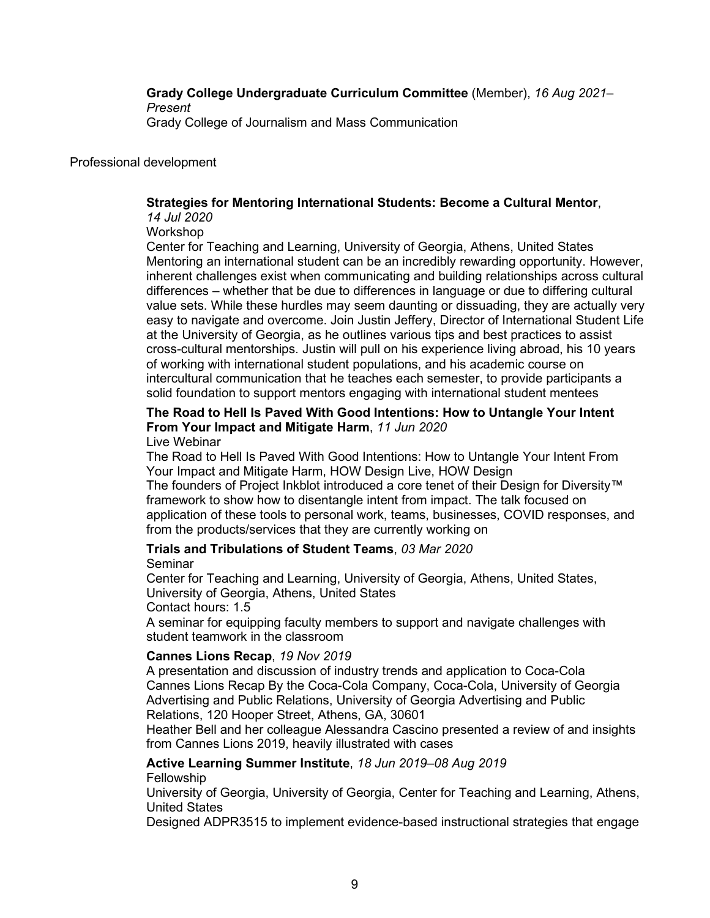**Grady College Undergraduate Curriculum Committee** (Member), *16 Aug 2021– Present* Grady College of Journalism and Mass Communication

Professional development

# **Strategies for Mentoring International Students: Become a Cultural Mentor**,

*14 Jul 2020*

Workshop

Center for Teaching and Learning, University of Georgia, Athens, United States Mentoring an international student can be an incredibly rewarding opportunity. However, inherent challenges exist when communicating and building relationships across cultural differences – whether that be due to differences in language or due to differing cultural value sets. While these hurdles may seem daunting or dissuading, they are actually very easy to navigate and overcome. Join Justin Jeffery, Director of International Student Life at the University of Georgia, as he outlines various tips and best practices to assist cross-cultural mentorships. Justin will pull on his experience living abroad, his 10 years of working with international student populations, and his academic course on intercultural communication that he teaches each semester, to provide participants a solid foundation to support mentors engaging with international student mentees

# **The Road to Hell Is Paved With Good Intentions: How to Untangle Your Intent From Your Impact and Mitigate Harm**, *11 Jun 2020*

# Live Webinar

The Road to Hell Is Paved With Good Intentions: How to Untangle Your Intent From Your Impact and Mitigate Harm, HOW Design Live, HOW Design

The founders of Project Inkblot introduced a core tenet of their Design for Diversity™ framework to show how to disentangle intent from impact. The talk focused on application of these tools to personal work, teams, businesses, COVID responses, and from the products/services that they are currently working on

# **Trials and Tribulations of Student Teams**, *03 Mar 2020* Seminar

Center for Teaching and Learning, University of Georgia, Athens, United States, University of Georgia, Athens, United States Contact hours: 1.5

A seminar for equipping faculty members to support and navigate challenges with student teamwork in the classroom

# **Cannes Lions Recap**, *19 Nov 2019*

A presentation and discussion of industry trends and application to Coca-Cola Cannes Lions Recap By the Coca-Cola Company, Coca-Cola, University of Georgia Advertising and Public Relations, University of Georgia Advertising and Public Relations, 120 Hooper Street, Athens, GA, 30601

Heather Bell and her colleague Alessandra Cascino presented a review of and insights from Cannes Lions 2019, heavily illustrated with cases

# **Active Learning Summer Institute**, *18 Jun 2019–08 Aug 2019*

# Fellowship

University of Georgia, University of Georgia, Center for Teaching and Learning, Athens, United States

Designed ADPR3515 to implement evidence-based instructional strategies that engage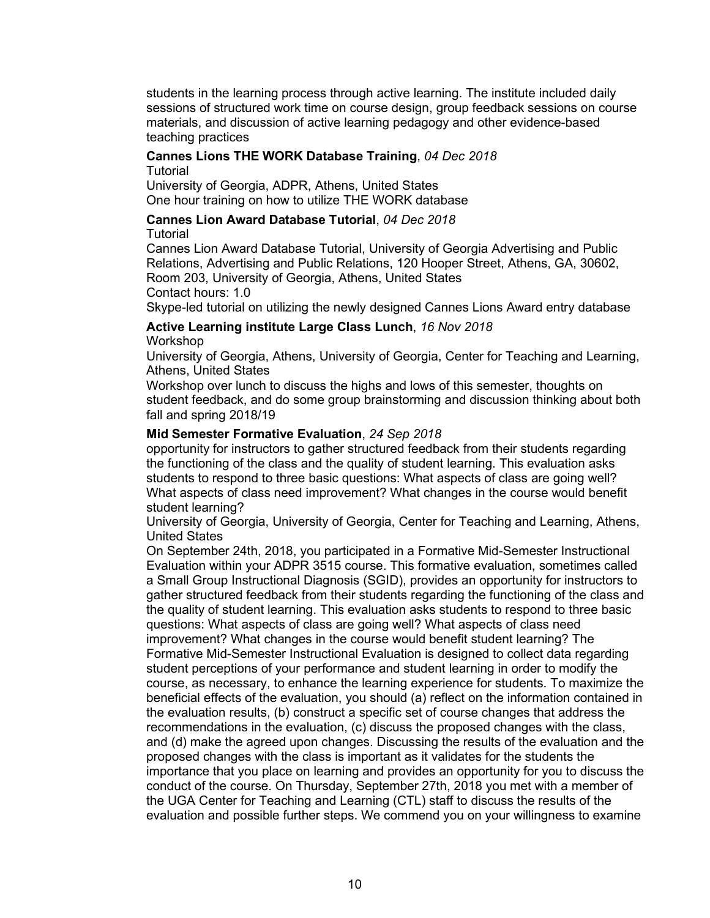students in the learning process through active learning. The institute included daily sessions of structured work time on course design, group feedback sessions on course materials, and discussion of active learning pedagogy and other evidence-based teaching practices

# **Cannes Lions THE WORK Database Training**, *04 Dec 2018*

**Tutorial** 

University of Georgia, ADPR, Athens, United States One hour training on how to utilize THE WORK database

# **Cannes Lion Award Database Tutorial**, *04 Dec 2018*

Tutorial

Cannes Lion Award Database Tutorial, University of Georgia Advertising and Public Relations, Advertising and Public Relations, 120 Hooper Street, Athens, GA, 30602, Room 203, University of Georgia, Athens, United States Contact hours: 1.0

Skype-led tutorial on utilizing the newly designed Cannes Lions Award entry database

### **Active Learning institute Large Class Lunch**, *16 Nov 2018* Workshop

University of Georgia, Athens, University of Georgia, Center for Teaching and Learning, Athens, United States

Workshop over lunch to discuss the highs and lows of this semester, thoughts on student feedback, and do some group brainstorming and discussion thinking about both fall and spring 2018/19

# **Mid Semester Formative Evaluation**, *24 Sep 2018*

opportunity for instructors to gather structured feedback from their students regarding the functioning of the class and the quality of student learning. This evaluation asks students to respond to three basic questions: What aspects of class are going well? What aspects of class need improvement? What changes in the course would benefit student learning?

University of Georgia, University of Georgia, Center for Teaching and Learning, Athens, United States

On September 24th, 2018, you participated in a Formative Mid-Semester Instructional Evaluation within your ADPR 3515 course. This formative evaluation, sometimes called a Small Group Instructional Diagnosis (SGID), provides an opportunity for instructors to gather structured feedback from their students regarding the functioning of the class and the quality of student learning. This evaluation asks students to respond to three basic questions: What aspects of class are going well? What aspects of class need improvement? What changes in the course would benefit student learning? The Formative Mid-Semester Instructional Evaluation is designed to collect data regarding student perceptions of your performance and student learning in order to modify the course, as necessary, to enhance the learning experience for students. To maximize the beneficial effects of the evaluation, you should (a) reflect on the information contained in the evaluation results, (b) construct a specific set of course changes that address the recommendations in the evaluation, (c) discuss the proposed changes with the class, and (d) make the agreed upon changes. Discussing the results of the evaluation and the proposed changes with the class is important as it validates for the students the importance that you place on learning and provides an opportunity for you to discuss the conduct of the course. On Thursday, September 27th, 2018 you met with a member of the UGA Center for Teaching and Learning (CTL) staff to discuss the results of the evaluation and possible further steps. We commend you on your willingness to examine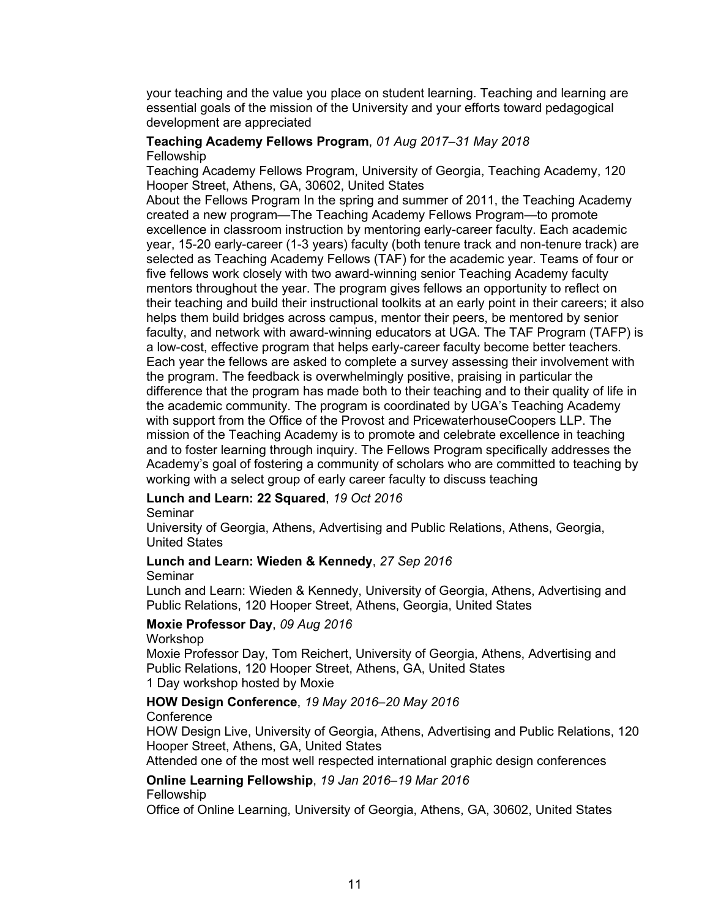your teaching and the value you place on student learning. Teaching and learning are essential goals of the mission of the University and your efforts toward pedagogical development are appreciated

# **Teaching Academy Fellows Program**, *01 Aug 2017–31 May 2018* Fellowship

Teaching Academy Fellows Program, University of Georgia, Teaching Academy, 120 Hooper Street, Athens, GA, 30602, United States

About the Fellows Program In the spring and summer of 2011, the Teaching Academy created a new program—The Teaching Academy Fellows Program—to promote excellence in classroom instruction by mentoring early-career faculty. Each academic year, 15-20 early-career (1-3 years) faculty (both tenure track and non-tenure track) are selected as Teaching Academy Fellows (TAF) for the academic year. Teams of four or five fellows work closely with two award-winning senior Teaching Academy faculty mentors throughout the year. The program gives fellows an opportunity to reflect on their teaching and build their instructional toolkits at an early point in their careers; it also helps them build bridges across campus, mentor their peers, be mentored by senior faculty, and network with award-winning educators at UGA. The TAF Program (TAFP) is a low-cost, effective program that helps early-career faculty become better teachers. Each year the fellows are asked to complete a survey assessing their involvement with the program. The feedback is overwhelmingly positive, praising in particular the difference that the program has made both to their teaching and to their quality of life in the academic community. The program is coordinated by UGA's Teaching Academy with support from the Office of the Provost and PricewaterhouseCoopers LLP. The mission of the Teaching Academy is to promote and celebrate excellence in teaching and to foster learning through inquiry. The Fellows Program specifically addresses the Academy's goal of fostering a community of scholars who are committed to teaching by working with a select group of early career faculty to discuss teaching

# **Lunch and Learn: 22 Squared**, *19 Oct 2016*

Seminar

University of Georgia, Athens, Advertising and Public Relations, Athens, Georgia, United States

# **Lunch and Learn: Wieden & Kennedy**, *27 Sep 2016*

#### Seminar

Lunch and Learn: Wieden & Kennedy, University of Georgia, Athens, Advertising and Public Relations, 120 Hooper Street, Athens, Georgia, United States

### **Moxie Professor Day**, *09 Aug 2016*

#### Workshop

Moxie Professor Day, Tom Reichert, University of Georgia, Athens, Advertising and Public Relations, 120 Hooper Street, Athens, GA, United States 1 Day workshop hosted by Moxie

# **HOW Design Conference**, *19 May 2016–20 May 2016*

#### **Conference**

HOW Design Live, University of Georgia, Athens, Advertising and Public Relations, 120 Hooper Street, Athens, GA, United States

Attended one of the most well respected international graphic design conferences

#### **Online Learning Fellowship**, *19 Jan 2016–19 Mar 2016* **Fellowship**

Office of Online Learning, University of Georgia, Athens, GA, 30602, United States